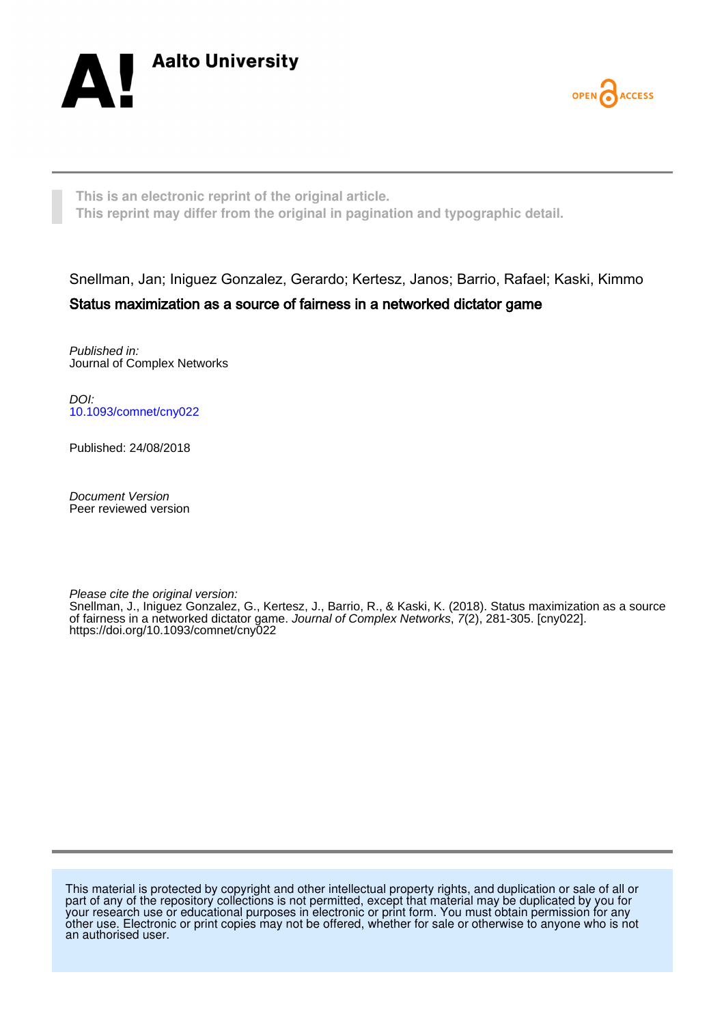



**This is an electronic reprint of the original article. This reprint may differ from the original in pagination and typographic detail.**

## Snellman, Jan; Iniguez Gonzalez, Gerardo; Kertesz, Janos; Barrio, Rafael; Kaski, Kimmo Status maximization as a source of fairness in a networked dictator game

Published in: Journal of Complex Networks

DOI: [10.1093/comnet/cny022](https://doi.org/10.1093/comnet/cny022)

Published: 24/08/2018

Document Version Peer reviewed version

Please cite the original version:

Snellman, J., Iniguez Gonzalez, G., Kertesz, J., Barrio, R., & Kaski, K. (2018). Status maximization as a source of fairness in a networked dictator game. Journal of Complex Networks, 7(2), 281-305. [cny022]. <https://doi.org/10.1093/comnet/cny022>

This material is protected by copyright and other intellectual property rights, and duplication or sale of all or part of any of the repository collections is not permitted, except that material may be duplicated by you for your research use or educational purposes in electronic or print form. You must obtain permission for any other use. Electronic or print copies may not be offered, whether for sale or otherwise to anyone who is not an authorised user.